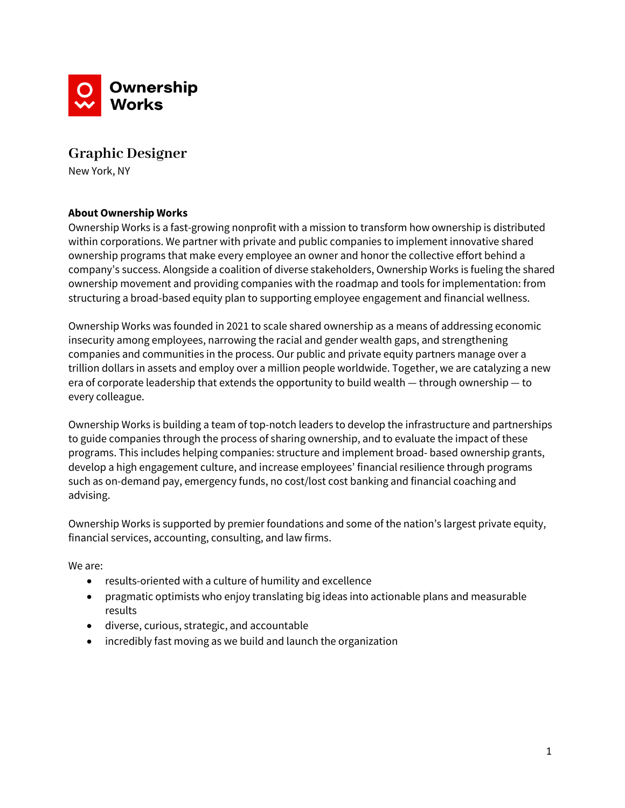

# **Graphic Designer**

New York, NY

## **About Ownership Works**

Ownership Works is a fast-growing nonprofit with a mission to transform how ownership is distributed within corporations. We partner with private and public companies to implement innovative shared ownership programs that make every employee an owner and honor the collective effort behind a company's success. Alongside a coalition of diverse stakeholders, Ownership Works is fueling the shared ownership movement and providing companies with the roadmap and tools for implementation: from structuring a broad-based equity plan to supporting employee engagement and financial wellness.

Ownership Works was founded in 2021 to scale shared ownership as a means of addressing economic insecurity among employees, narrowing the racial and gender wealth gaps, and strengthening companies and communities in the process. Our public and private equity partners manage over a trillion dollars in assets and employ over a million people worldwide. Together, we are catalyzing a new era of corporate leadership that extends the opportunity to build wealth — through ownership — to every colleague.

Ownership Works is building a team of top-notch leaders to develop the infrastructure and partnerships to guide companies through the process of sharing ownership, and to evaluate the impact of these programs. This includes helping companies: structure and implement broad- based ownership grants, develop a high engagement culture, and increase employees' financial resilience through programs such as on-demand pay, emergency funds, no cost/lost cost banking and financial coaching and advising.

Ownership Works is supported by premier foundations and some of the nation's largest private equity, financial services, accounting, consulting, and law firms.

We are:

- results-oriented with a culture of humility and excellence
- pragmatic optimists who enjoy translating big ideas into actionable plans and measurable results
- diverse, curious, strategic, and accountable
- incredibly fast moving as we build and launch the organization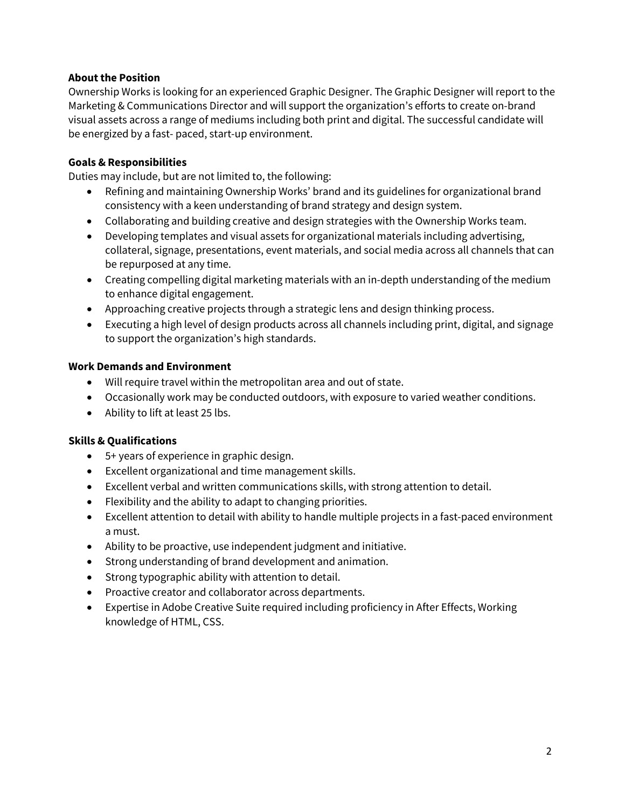### **About the Position**

Ownership Works is looking for an experienced Graphic Designer. The Graphic Designer will report to the Marketing & Communications Director and will support the organization's efforts to create on-brand visual assets across a range of mediums including both print and digital. The successful candidate will be energized by a fast- paced, start-up environment.

## **Goals & Responsibilities**

Duties may include, but are not limited to, the following:

- Refining and maintaining Ownership Works' brand and its guidelines for organizational brand consistency with a keen understanding of brand strategy and design system.
- Collaborating and building creative and design strategies with the Ownership Works team.
- Developing templates and visual assets for organizational materials including advertising, collateral, signage, presentations, event materials, and social media across all channels that can be repurposed at any time.
- Creating compelling digital marketing materials with an in-depth understanding of the medium to enhance digital engagement.
- Approaching creative projects through a strategic lens and design thinking process.
- Executing a high level of design products across all channels including print, digital, and signage to support the organization's high standards.

### **Work Demands and Environment**

- Will require travel within the metropolitan area and out of state.
- Occasionally work may be conducted outdoors, with exposure to varied weather conditions.
- Ability to lift at least 25 lbs.

### **Skills & Qualifications**

- 5+ years of experience in graphic design.
- Excellent organizational and time management skills.
- Excellent verbal and written communications skills, with strong attention to detail.
- Flexibility and the ability to adapt to changing priorities.
- Excellent attention to detail with ability to handle multiple projects in a fast-paced environment a must.
- Ability to be proactive, use independent judgment and initiative.
- Strong understanding of brand development and animation.
- Strong typographic ability with attention to detail.
- Proactive creator and collaborator across departments.
- Expertise in Adobe Creative Suite required including proficiency in After Effects, Working knowledge of HTML, CSS.